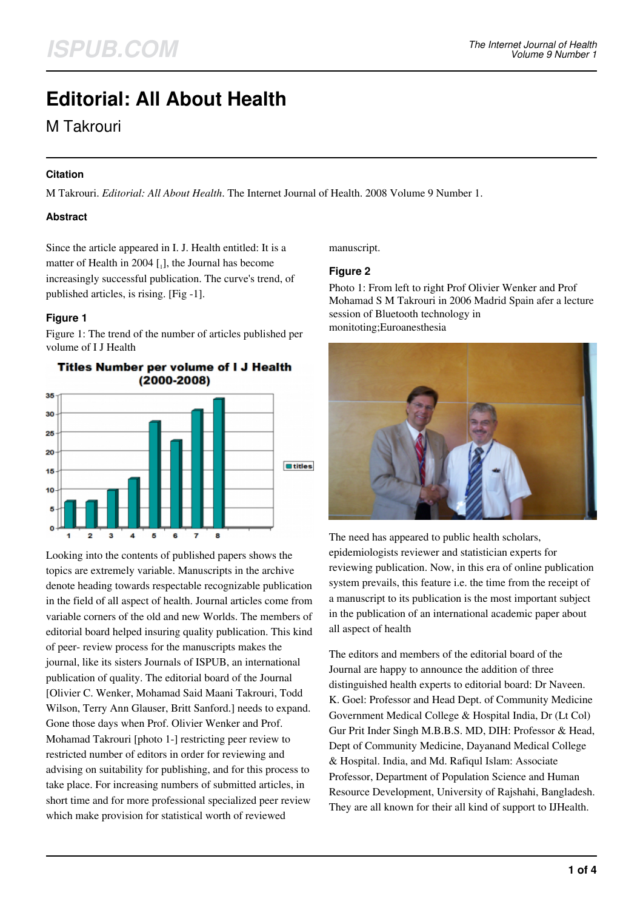# **Editorial: All About Health**

M Takrouri

## **Citation**

M Takrouri. *Editorial: All About Health*. The Internet Journal of Health. 2008 Volume 9 Number 1.

## **Abstract**

Since the article appeared in I. J. Health entitled: It is a matter of Health in 2004  $\left[ \begin{smallmatrix} 1 \end{smallmatrix} \right]$ , the Journal has become increasingly successful publication. The curve's trend, of published articles, is rising. [Fig -1].

## **Figure 1**

Figure 1: The trend of the number of articles published per volume of I J Health



Looking into the contents of published papers shows the topics are extremely variable. Manuscripts in the archive denote heading towards respectable recognizable publication in the field of all aspect of health. Journal articles come from variable corners of the old and new Worlds. The members of editorial board helped insuring quality publication. This kind of peer- review process for the manuscripts makes the journal, like its sisters Journals of ISPUB, an international publication of quality. The editorial board of the Journal [Olivier C. Wenker, Mohamad Said Maani Takrouri, Todd Wilson, Terry Ann Glauser, Britt Sanford.] needs to expand. Gone those days when Prof. Olivier Wenker and Prof. Mohamad Takrouri [photo 1-] restricting peer review to restricted number of editors in order for reviewing and advising on suitability for publishing, and for this process to take place. For increasing numbers of submitted articles, in short time and for more professional specialized peer review which make provision for statistical worth of reviewed

manuscript.

## **Figure 2**

Photo 1: From left to right Prof Olivier Wenker and Prof Mohamad S M Takrouri in 2006 Madrid Spain afer a lecture session of Bluetooth technology in monitoting;Euroanesthesia



The need has appeared to public health scholars, epidemiologists reviewer and statistician experts for reviewing publication. Now, in this era of online publication system prevails, this feature i.e. the time from the receipt of a manuscript to its publication is the most important subject in the publication of an international academic paper about all aspect of health

The editors and members of the editorial board of the Journal are happy to announce the addition of three distinguished health experts to editorial board: Dr Naveen. K. Goel: Professor and Head Dept. of Community Medicine Government Medical College & Hospital India, Dr (Lt Col) Gur Prit Inder Singh M.B.B.S. MD, DIH: Professor & Head, Dept of Community Medicine, Dayanand Medical College & Hospital. India, and Md. Rafiqul Islam: Associate Professor, Department of Population Science and Human Resource Development, University of Rajshahi, Bangladesh. They are all known for their all kind of support to IJHealth.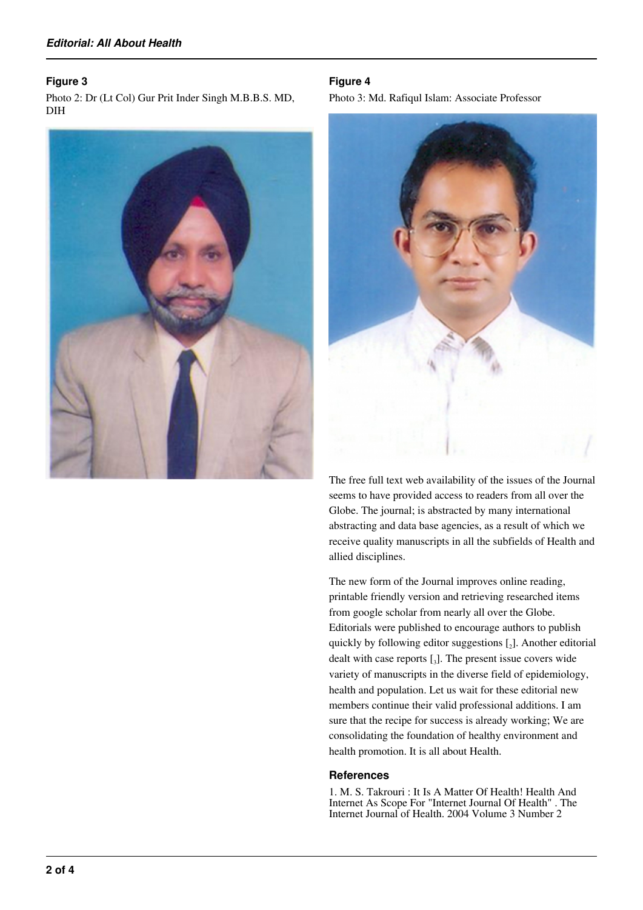#### **Figure 3**

Photo 2: Dr (Lt Col) Gur Prit Inder Singh M.B.B.S. MD, DIH



#### **Figure 4**

Photo 3: Md. Rafiqul Islam: Associate Professor



The free full text web availability of the issues of the Journal seems to have provided access to readers from all over the Globe. The journal; is abstracted by many international abstracting and data base agencies, as a result of which we receive quality manuscripts in all the subfields of Health and allied disciplines.

The new form of the Journal improves online reading, printable friendly version and retrieving researched items from google scholar from nearly all over the Globe. Editorials were published to encourage authors to publish quickly by following editor suggestions [<sup>2</sup> ]. Another editorial dealt with case reports [<sup>3</sup> ]. The present issue covers wide variety of manuscripts in the diverse field of epidemiology, health and population. Let us wait for these editorial new members continue their valid professional additions. I am sure that the recipe for success is already working; We are consolidating the foundation of healthy environment and health promotion. It is all about Health.

#### **References**

1. M. S. Takrouri : It Is A Matter Of Health! Health And Internet As Scope For "Internet Journal Of Health" . The Internet Journal of Health. 2004 Volume 3 Number 2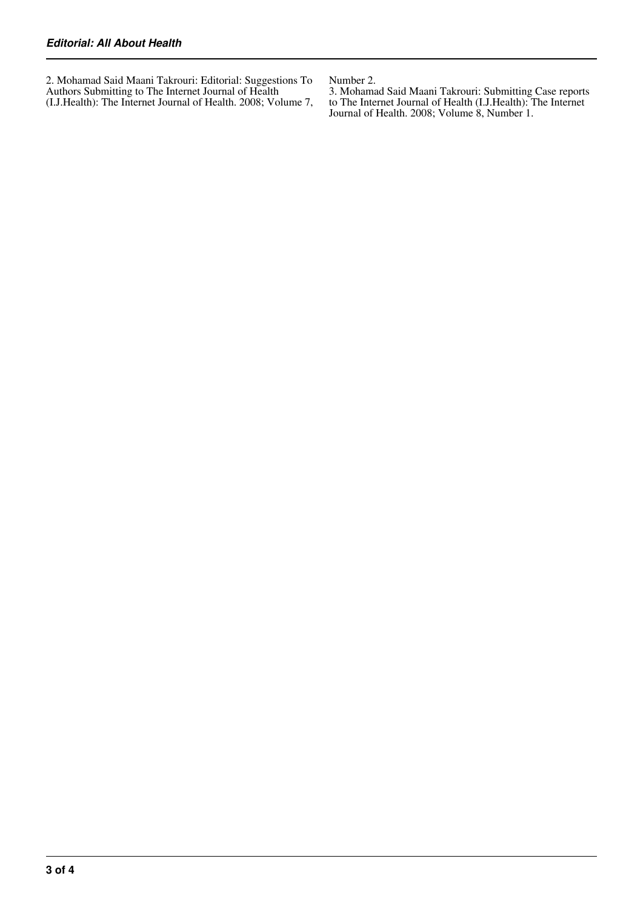2. Mohamad Said Maani Takrouri: Editorial: Suggestions To Authors Submitting to The Internet Journal of Health (I.J.Health): The Internet Journal of Health. 2008; Volume 7, Number 2.

3. Mohamad Said Maani Takrouri: Submitting Case reports to The Internet Journal of Health (I.J.Health): The Internet Journal of Health. 2008; Volume 8, Number 1.